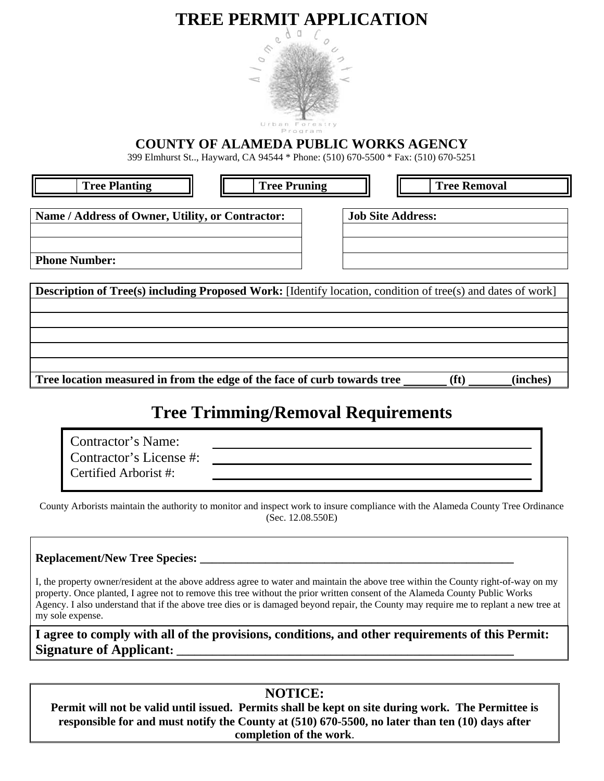# **TREE PERMIT APPLICATION**



# **COUNTY OF ALAMEDA PUBLIC WORKS AGENCY**

399 Elmhurst St.., Hayward, CA 94544 \* Phone: (510) 670-5500 \* Fax: (510) 670-5251

| ree Plant<br>ıО |
|-----------------|
|                 |
|                 |

**Tree Pruning**  $|| \cdot ||$  **Tree Removal** 

Name / Address of Owner, Utility, or Contractor:  $|$  Job Site Address:

**Phone Number:**

**Description of Tree(s) including Proposed Work:** [Identify location, condition of tree(s) and dates of work] Tree location measured in from the edge of the face of curb towards tree (ft) (inches)

# **Tree Trimming/Removal Requirements**

| Contractor's Name:      |  |
|-------------------------|--|
| Contractor's License #: |  |
| Certified Arborist #:   |  |

County Arborists maintain the authority to monitor and inspect work to insure compliance with the Alameda County Tree Ordinance (Sec. 12.08.550E)

Replacement/New Tree Species:

I, the property owner/resident at the above address agree to water and maintain the above tree within the County right-of-way on my property. Once planted, I agree not to remove this tree without the prior written consent of the Alameda County Public Works Agency. I also understand that if the above tree dies or is damaged beyond repair, the County may require me to replant a new tree at my sole expense.

**I agree to comply with all of the provisions, conditions, and other requirements of this Permit: Signature of Applicant:** 

# **NOTICE:**

**Permit will not be valid until issued. Permits shall be kept on site during work. The Permittee is responsible for and must notify the County at (510) 670-5500, no later than ten (10) days after completion of the work**.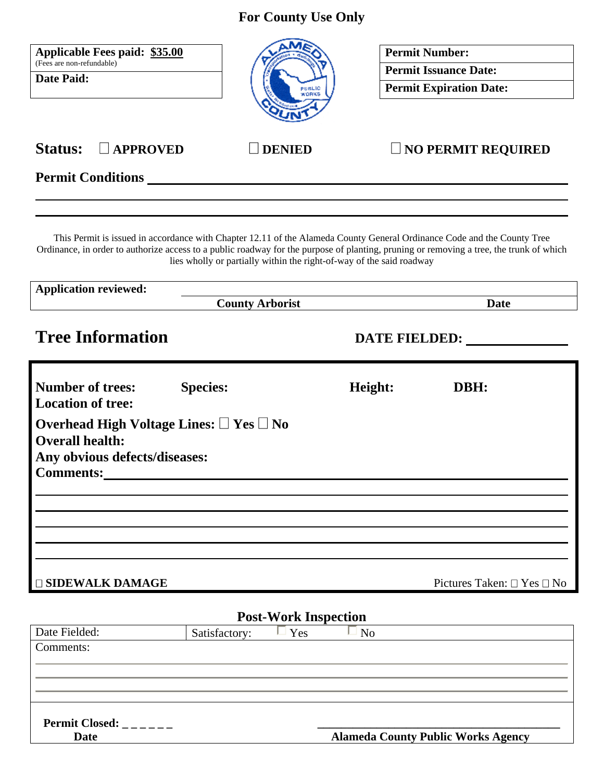**For County Use Only** 

| Applicable Fees paid: \$35.00<br>(Fees are non-refundable)<br>Date Paid:                                                                                                | PUBLIC<br>WORKS                                                                                                                                                                                 |         | <b>Permit Number:</b><br><b>Permit Issuance Date:</b><br><b>Permit Expiration Date:</b> |
|-------------------------------------------------------------------------------------------------------------------------------------------------------------------------|-------------------------------------------------------------------------------------------------------------------------------------------------------------------------------------------------|---------|-----------------------------------------------------------------------------------------|
| Status: $\Box$ APPROVED                                                                                                                                                 | <b>DENIED</b>                                                                                                                                                                                   |         | $\Box$ NO PERMIT REQUIRED                                                               |
| <b>Permit Conditions</b> __________                                                                                                                                     |                                                                                                                                                                                                 |         |                                                                                         |
| Ordinance, in order to authorize access to a public roadway for the purpose of planting, pruning or removing a tree, the trunk of which<br><b>Application reviewed:</b> | This Permit is issued in accordance with Chapter 12.11 of the Alameda County General Ordinance Code and the County Tree<br>lies wholly or partially within the right-of-way of the said roadway |         |                                                                                         |
|                                                                                                                                                                         | <b>County Arborist</b>                                                                                                                                                                          |         | <b>Date</b>                                                                             |
| <b>Tree Information</b>                                                                                                                                                 |                                                                                                                                                                                                 |         | DATE FIELDED:                                                                           |
| <b>Number of trees:</b><br><b>Location of tree:</b>                                                                                                                     | <b>Species:</b>                                                                                                                                                                                 | Height: | DBH:                                                                                    |
| Overhead High Voltage Lines: $\square$ Yes $\square$ No<br><b>Overall health:</b><br>Any obvious defects/diseases:                                                      |                                                                                                                                                                                                 |         |                                                                                         |
|                                                                                                                                                                         |                                                                                                                                                                                                 |         |                                                                                         |
|                                                                                                                                                                         |                                                                                                                                                                                                 |         |                                                                                         |
|                                                                                                                                                                         |                                                                                                                                                                                                 |         |                                                                                         |
| <b>Comments:</b><br><b>SIDEWALK DAMAGE</b>                                                                                                                              | <b>Post-Work Inspection</b>                                                                                                                                                                     |         | Pictures Taken: $\Box$ Yes $\Box$ No                                                    |

| <b>Permit Closed:</b> |                                           |
|-----------------------|-------------------------------------------|
| Date                  | <b>Alameda County Public Works Agency</b> |

**Date Alameda County Public Works Agency**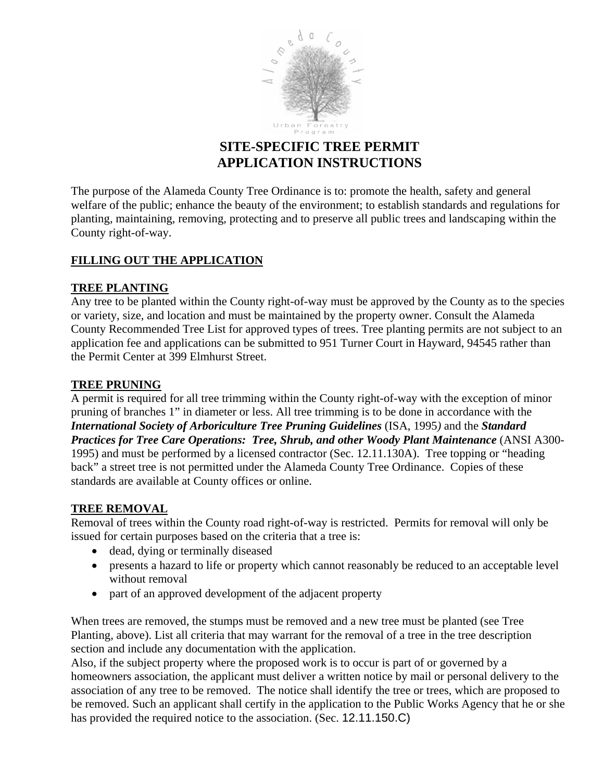

# **SITE-SPECIFIC TREE PERMIT APPLICATION INSTRUCTIONS**

The purpose of the Alameda County Tree Ordinance is to: promote the health, safety and general welfare of the public; enhance the beauty of the environment; to establish standards and regulations for planting, maintaining, removing, protecting and to preserve all public trees and landscaping within the County right-of-way.

### **FILLING OUT THE APPLICATION**

#### **TREE PLANTING**

Any tree to be planted within the County right-of-way must be approved by the County as to the species or variety, size, and location and must be maintained by the property owner. Consult the Alameda County Recommended Tree List for approved types of trees. Tree planting permits are not subject to an application fee and applications can be submitted to 951 Turner Court in Hayward, 94545 rather than the Permit Center at 399 Elmhurst Street.

#### **TREE PRUNING**

A permit is required for all tree trimming within the County right-of-way with the exception of minor pruning of branches 1" in diameter or less. All tree trimming is to be done in accordance with the *International Society of Arboriculture Tree Pruning Guidelines* (ISA, 1995*)* and the *Standard Practices for Tree Care Operations: Tree, Shrub, and other Woody Plant Maintenance* (ANSI A300- 1995) and must be performed by a licensed contractor (Sec. 12.11.130A). Tree topping or "heading back" a street tree is not permitted under the Alameda County Tree Ordinance. Copies of these standards are available at County offices or online.

#### **TREE REMOVAL**

Removal of trees within the County road right-of-way is restricted. Permits for removal will only be issued for certain purposes based on the criteria that a tree is:

- dead, dying or terminally diseased
- presents a hazard to life or property which cannot reasonably be reduced to an acceptable level without removal
- part of an approved development of the adjacent property

When trees are removed, the stumps must be removed and a new tree must be planted (see Tree Planting, above). List all criteria that may warrant for the removal of a tree in the tree description section and include any documentation with the application.

Also, if the subject property where the proposed work is to occur is part of or governed by a homeowners association, the applicant must deliver a written notice by mail or personal delivery to the association of any tree to be removed. The notice shall identify the tree or trees, which are proposed to be removed. Such an applicant shall certify in the application to the Public Works Agency that he or she has provided the required notice to the association. (Sec. 12.11.150.C)